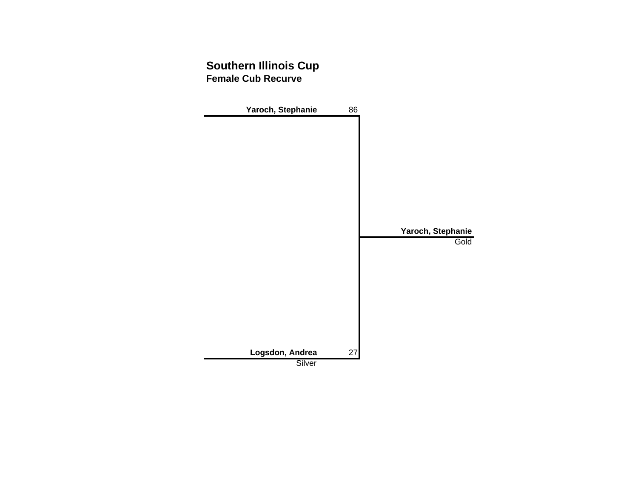### **Southern Illinois Cup Female Cub Recurve**

| Yaroch, Stephanie | 86 |                   |
|-------------------|----|-------------------|
|                   |    |                   |
|                   |    |                   |
|                   |    |                   |
|                   |    |                   |
|                   |    |                   |
|                   |    |                   |
|                   |    |                   |
|                   |    |                   |
|                   |    | Yaroch, Stephanie |
|                   |    | Gold              |
|                   |    |                   |
|                   |    |                   |
|                   |    |                   |
|                   |    |                   |
|                   |    |                   |
|                   |    |                   |
|                   |    |                   |
|                   |    |                   |
| Logsdon, Andrea   | 27 |                   |
| Silver            |    |                   |
|                   |    |                   |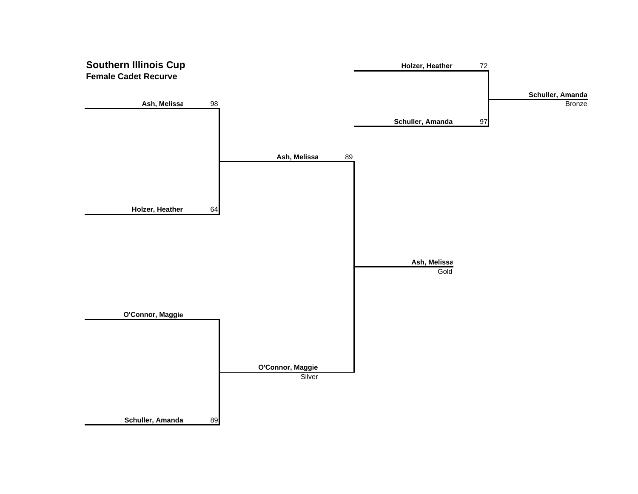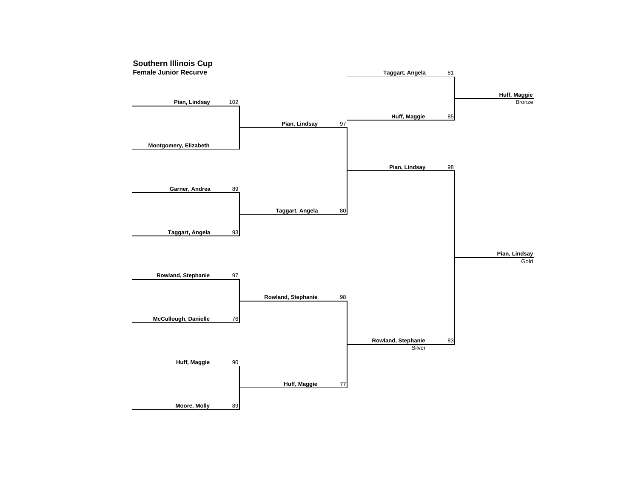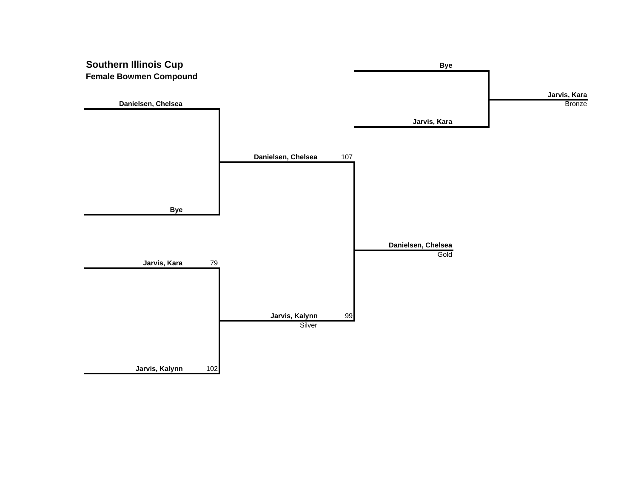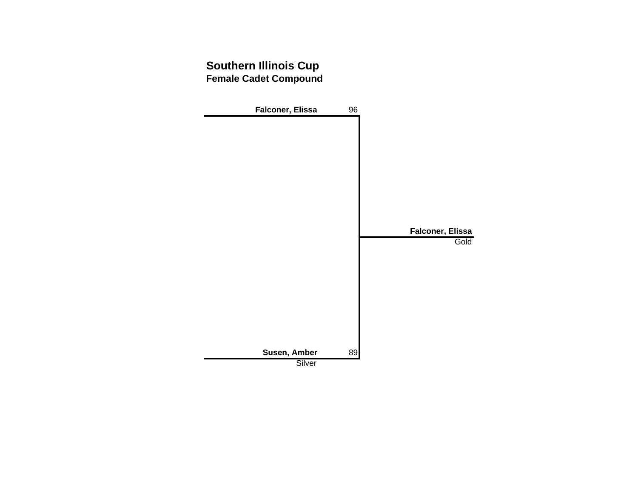### **Southern Illinois Cup Female Cadet Compound**

| Falconer, Elissa       | 96 |                  |
|------------------------|----|------------------|
|                        |    |                  |
|                        |    |                  |
|                        |    |                  |
|                        |    |                  |
|                        |    |                  |
|                        |    |                  |
|                        |    |                  |
|                        |    |                  |
|                        |    |                  |
|                        |    | Falconer, Elissa |
|                        |    |                  |
|                        |    |                  |
|                        |    |                  |
|                        |    |                  |
|                        |    |                  |
|                        |    |                  |
|                        |    |                  |
|                        |    |                  |
|                        |    | Gold             |
|                        |    |                  |
| Susen, Amber<br>Silver | 89 |                  |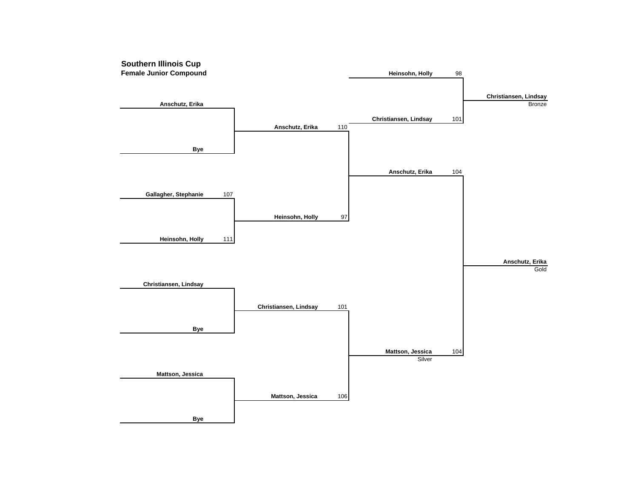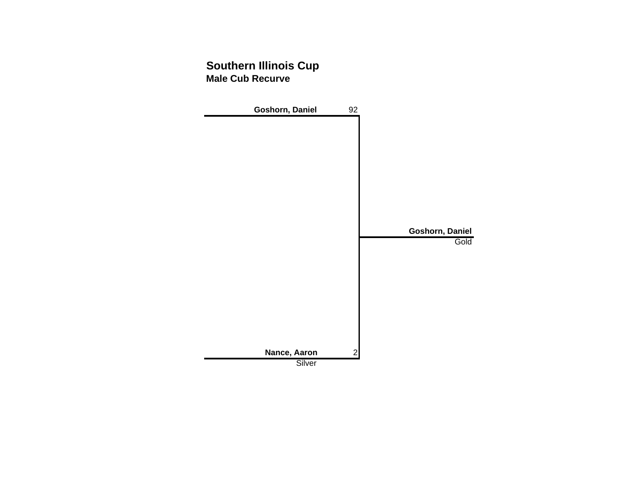### **Southern Illinois Cup Male Cub Recurve**

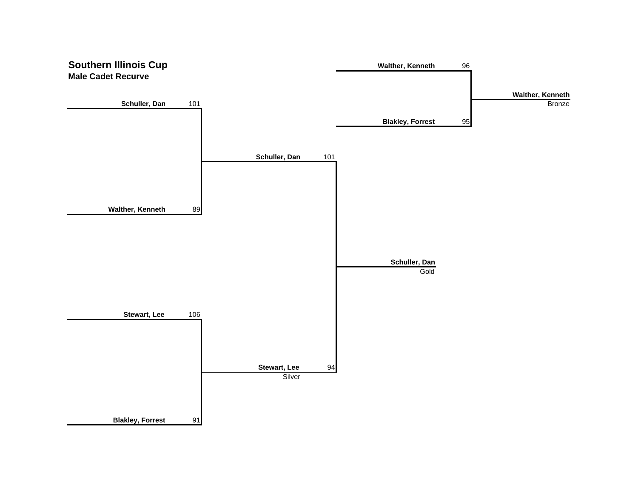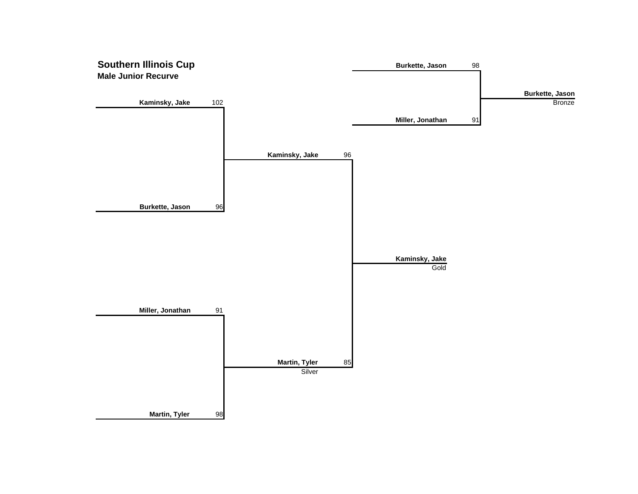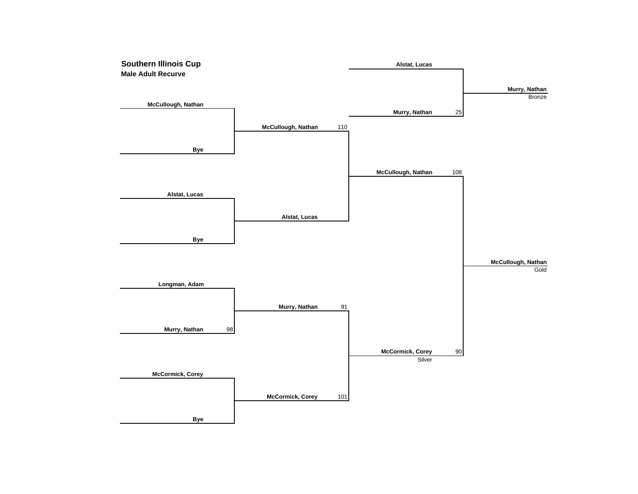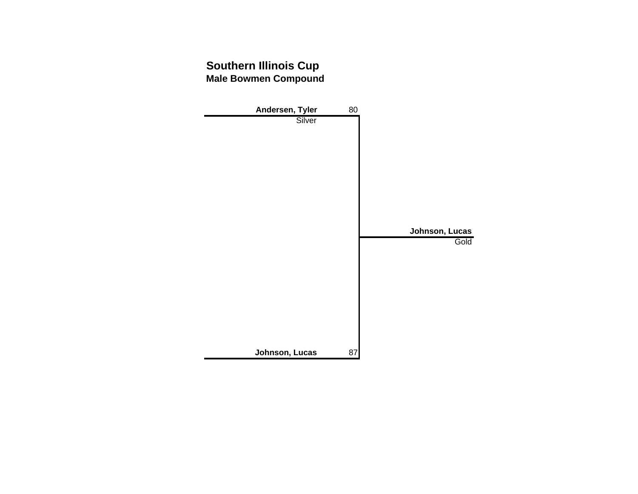## **Southern Illinois Cup Male Bowmen Compound**

| Andersen, Tyler | 80 |                |
|-----------------|----|----------------|
| Silver          |    |                |
|                 |    |                |
|                 |    |                |
|                 |    |                |
|                 |    |                |
|                 |    |                |
|                 |    |                |
|                 |    |                |
|                 |    |                |
|                 |    |                |
|                 |    |                |
|                 |    | Johnson, Lucas |
|                 |    | Gold           |
|                 |    |                |
|                 |    |                |
|                 |    |                |
|                 |    |                |
|                 |    |                |
|                 |    |                |
|                 |    |                |
|                 |    |                |
|                 |    |                |
| Johnson, Lucas  | 87 |                |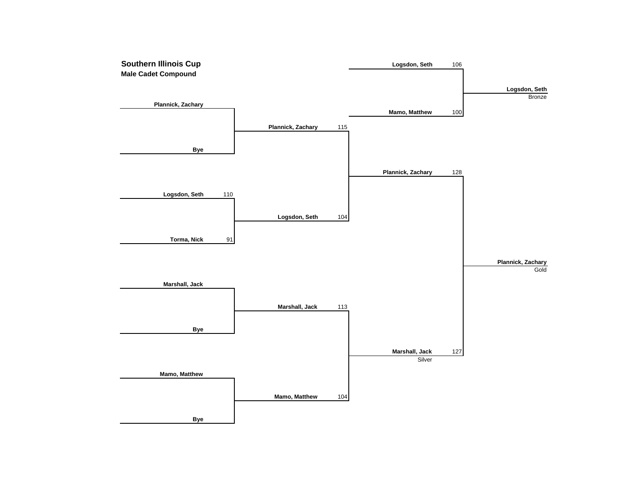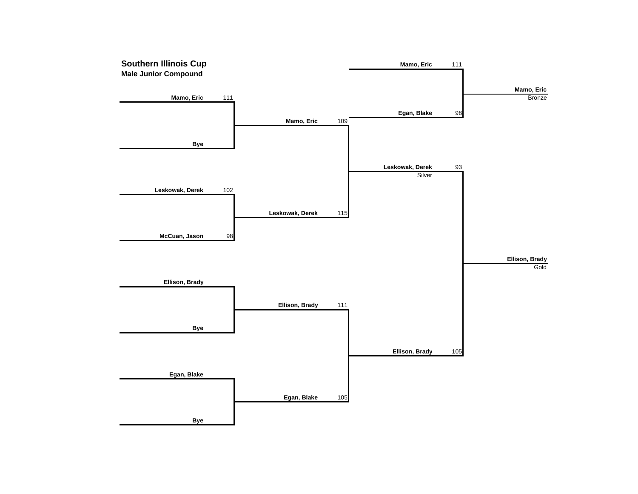